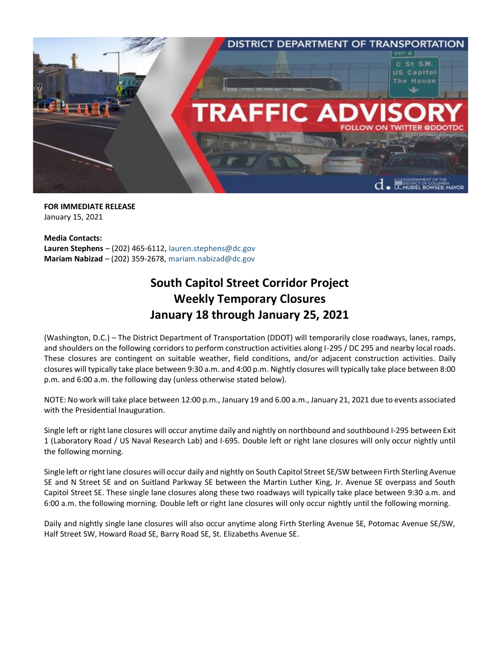

**FOR IMMEDIATE RELEASE** January 15, 2021

**Media Contacts: Lauren Stephens** – (202) 465-6112, [lauren.stephens@dc.gov](mailto:lauren.stephens@dc.gov) **Mariam Nabizad** – (202) 359-2678, [mariam.nabizad@dc.gov](mailto:mariam.nabizad@dc.gov)

## **South Capitol Street Corridor Project Weekly Temporary Closures January 18 through January 25, 2021**

(Washington, D.C.) – The District Department of Transportation (DDOT) will temporarily close roadways, lanes, ramps, and shoulders on the following corridors to perform construction activities along I-295 / DC 295 and nearby local roads. These closures are contingent on suitable weather, field conditions, and/or adjacent construction activities. Daily closures will typically take place between 9:30 a.m. and 4:00 p.m. Nightly closures will typically take place between 8:00 p.m. and 6:00 a.m. the following day (unless otherwise stated below).

NOTE: No work will take place between 12:00 p.m., January 19 and 6.00 a.m., January 21, 2021 due to events associated with the Presidential Inauguration.

Single left or right lane closures will occur anytime daily and nightly on northbound and southbound I-295 between Exit 1 (Laboratory Road / US Naval Research Lab) and I-695. Double left or right lane closures will only occur nightly until the following morning.

Single left or right lane closures will occur daily and nightly on South Capitol Street SE/SW between Firth Sterling Avenue SE and N Street SE and on Suitland Parkway SE between the Martin Luther King, Jr. Avenue SE overpass and South Capitol Street SE. These single lane closures along these two roadways will typically take place between 9:30 a.m. and 6:00 a.m. the following morning. Double left or right lane closures will only occur nightly until the following morning.

Daily and nightly single lane closures will also occur anytime along Firth Sterling Avenue SE, Potomac Avenue SE/SW, Half Street SW, Howard Road SE, Barry Road SE, St. Elizabeths Avenue SE.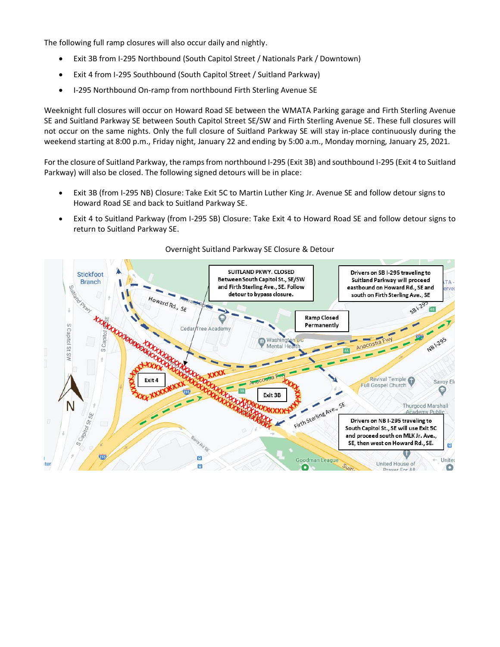The following full ramp closures will also occur daily and nightly.

- Exit 3B from I-295 Northbound (South Capitol Street / Nationals Park / Downtown)
- Exit 4 from I-295 Southbound (South Capitol Street / Suitland Parkway)
- I-295 Northbound On-ramp from northbound Firth Sterling Avenue SE

Weeknight full closures will occur on Howard Road SE between the WMATA Parking garage and Firth Sterling Avenue SE and Suitland Parkway SE between South Capitol Street SE/SW and Firth Sterling Avenue SE. These full closures will not occur on the same nights. Only the full closure of Suitland Parkway SE will stay in-place continuously during the weekend starting at 8:00 p.m., Friday night, January 22 and ending by 5:00 a.m., Monday morning, January 25, 2021.

For the closure of Suitland Parkway, the ramps from northbound I-295 (Exit 3B) and southbound I-295 (Exit 4 to Suitland Parkway) will also be closed. The following signed detours will be in place:

- Exit 3B (from I-295 NB) Closure: Take Exit 5C to Martin Luther King Jr. Avenue SE and follow detour signs to Howard Road SE and back to Suitland Parkway SE.
- Exit 4 to Suitland Parkway (from I-295 SB) Closure: Take Exit 4 to Howard Road SE and follow detour signs to return to Suitland Parkway SE.



## Overnight Suitland Parkway SE Closure & Detour